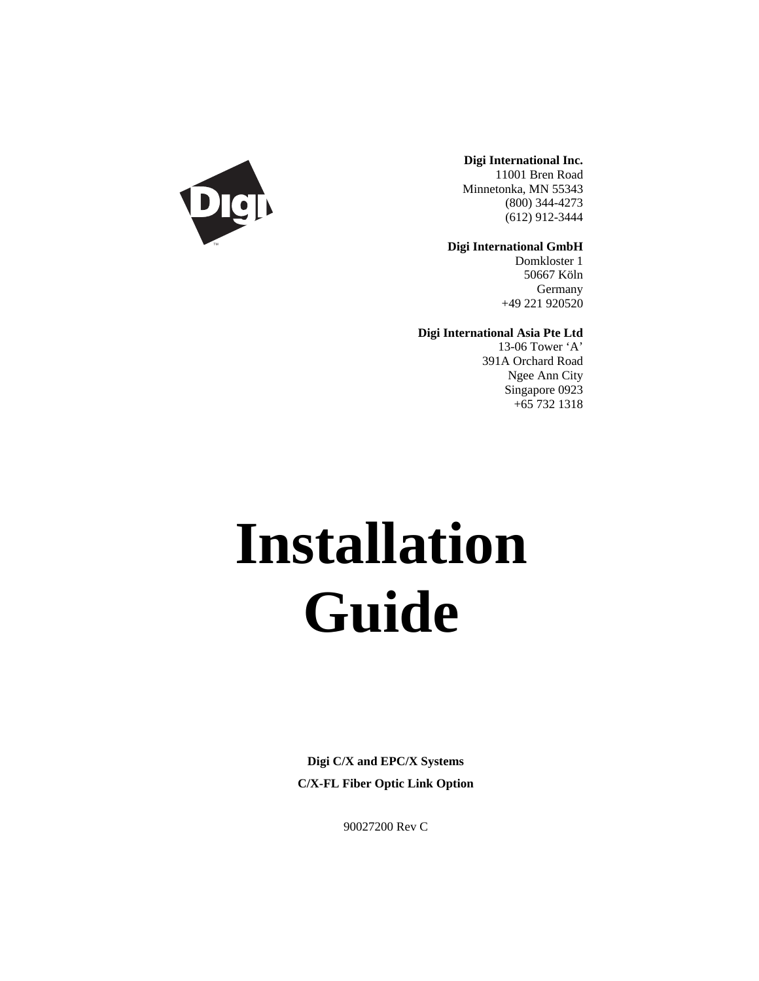

**Digi International Inc.** 11001 Bren Road Minnetonka, MN 55343 (800) 344-4273 (612) 912-3444

**Digi International GmbH**

Domkloster 1 50667 Köln Germany +49 221 920520

**Digi International Asia Pte Ltd**

13-06 Tower 'A' 391A Orchard Road Ngee Ann City Singapore 0923 +65 732 1318

# **Installation Guide**

**Digi C/X and EPC/X Systems C/X-FL Fiber Optic Link Option**

90027200 Rev C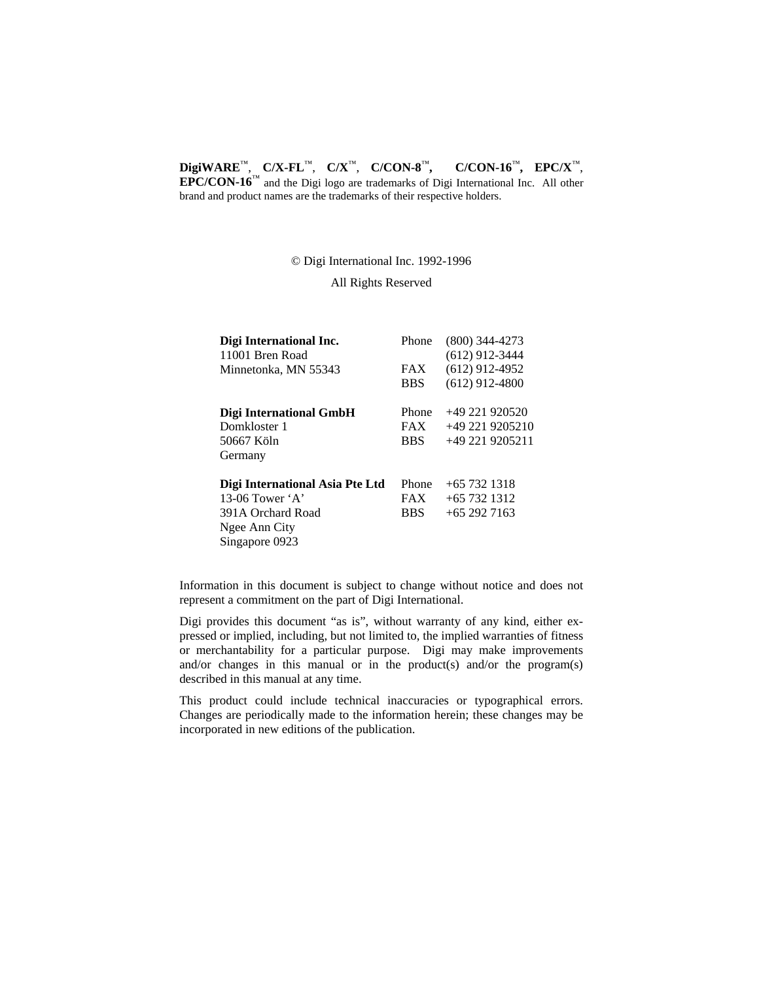#### **DigiWARE**™, **C/X-FL**™, **C/X**™, **C/CON-8**™**, C/CON-16**™**, EPC/X**™,

**EPC/CON-16**™ and the Digi logo are trademarks of Digi International Inc. All other brand and product names are the trademarks of their respective holders.

© Digi International Inc. 1992-1996

All Rights Reserved

| Digi International Inc.         | Phone      | $(800)$ 344-4273 |
|---------------------------------|------------|------------------|
| 11001 Bren Road                 |            | $(612)$ 912-3444 |
| Minnetonka, MN 55343            | FAX        | $(612)$ 912-4952 |
|                                 | <b>BBS</b> | $(612)$ 912-4800 |
| Digi International GmbH         | Phone      | $+49221920520$   |
| Domkloster 1                    | <b>FAX</b> | $+492219205210$  |
| 50667 Köln                      | <b>BBS</b> | +49 221 9205211  |
| Germany                         |            |                  |
| Digi International Asia Pte Ltd | Phone      | $+65$ 732 1318   |
| 13-06 Tower $\mathbf{A}$        | <b>FAX</b> | $+65$ 732 1312   |
| 391A Orchard Road               | <b>BBS</b> | $+652927163$     |
| Ngee Ann City                   |            |                  |
| Singapore 0923                  |            |                  |

Information in this document is subject to change without notice and does not represent a commitment on the part of Digi International.

Digi provides this document "as is", without warranty of any kind, either expressed or implied, including, but not limited to, the implied warranties of fitness or merchantability for a particular purpose. Digi may make improvements and/or changes in this manual or in the product(s) and/or the program(s) described in this manual at any time.

This product could include technical inaccuracies or typographical errors. Changes are periodically made to the information herein; these changes may be incorporated in new editions of the publication.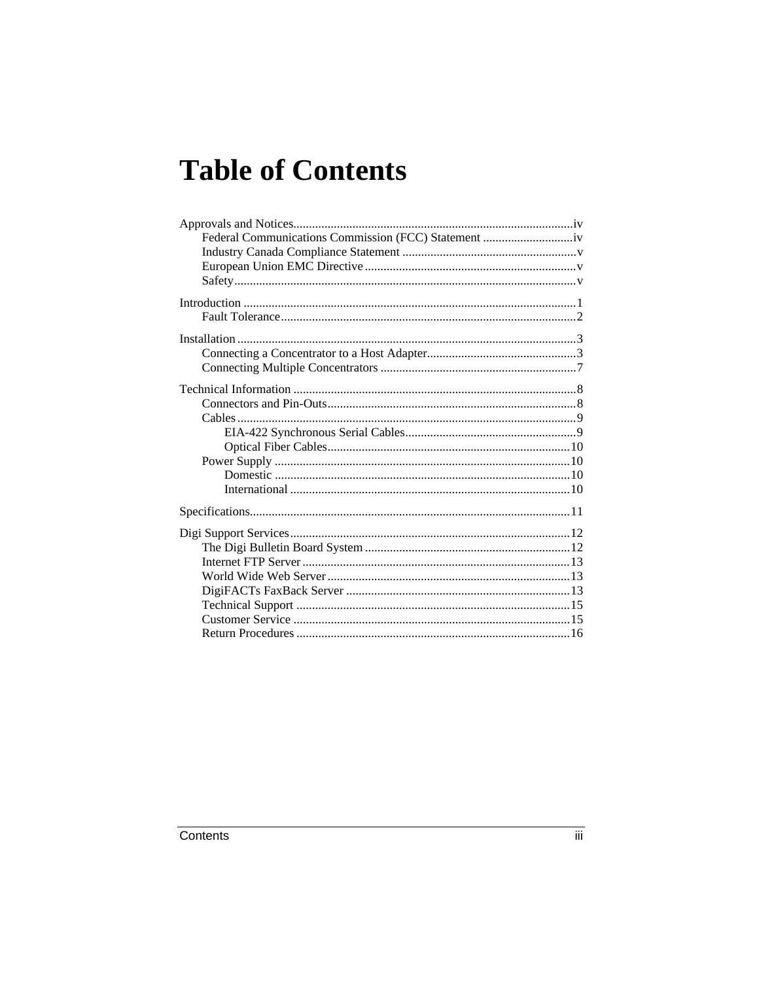# **Table of Contents**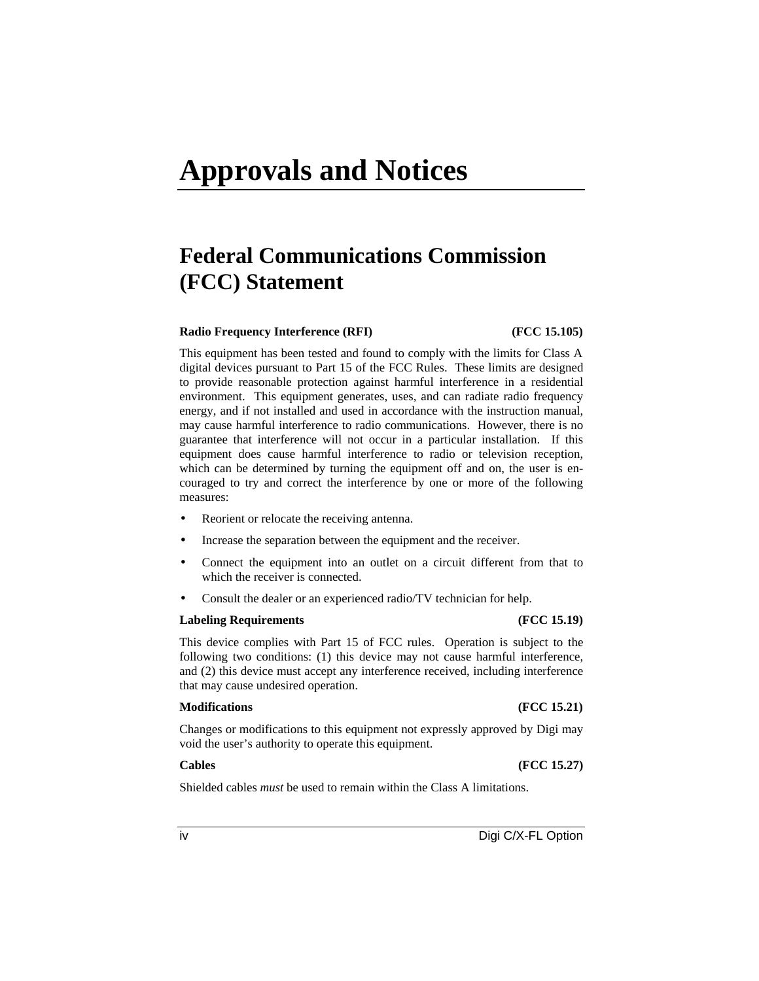## **Approvals and Notices**

### **Federal Communications Commission (FCC) Statement**

#### **Radio Frequency Interference (RFI) (FCC 15.105)**

This equipment has been tested and found to comply with the limits for Class A digital devices pursuant to Part 15 of the FCC Rules. These limits are designed to provide reasonable protection against harmful interference in a residential environment. This equipment generates, uses, and can radiate radio frequency energy, and if not installed and used in accordance with the instruction manual, may cause harmful interference to radio communications. However, there is no guarantee that interference will not occur in a particular installation. If this equipment does cause harmful interference to radio or television reception, which can be determined by turning the equipment off and on, the user is encouraged to try and correct the interference by one or more of the following measures:

- Reorient or relocate the receiving antenna.
- Increase the separation between the equipment and the receiver.
- Connect the equipment into an outlet on a circuit different from that to which the receiver is connected.
- Consult the dealer or an experienced radio/TV technician for help.

#### **Labeling Requirements (FCC 15.19)**

This device complies with Part 15 of FCC rules. Operation is subject to the following two conditions: (1) this device may not cause harmful interference, and (2) this device must accept any interference received, including interference that may cause undesired operation.

#### **Modifications (FCC 15.21)**

Changes or modifications to this equipment not expressly approved by Digi may void the user's authority to operate this equipment.

**Cables (FCC 15.27)**

Shielded cables *must* be used to remain within the Class A limitations.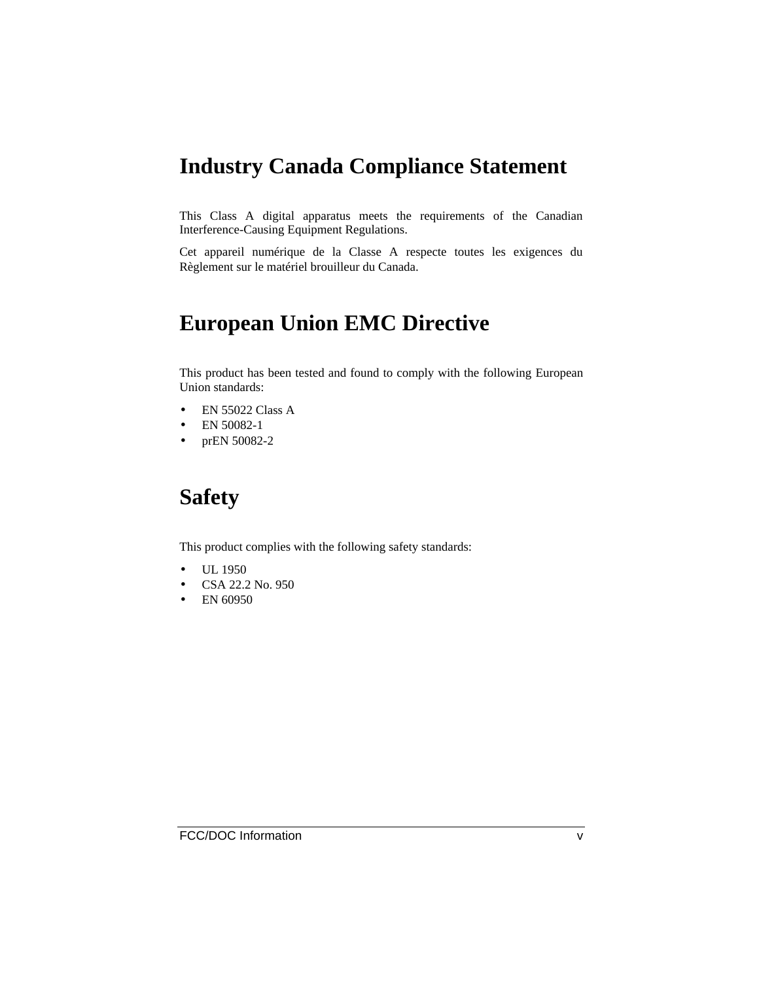### **Industry Canada Compliance Statement**

This Class A digital apparatus meets the requirements of the Canadian Interference-Causing Equipment Regulations.

Cet appareil numérique de la Classe A respecte toutes les exigences du Règlement sur le matériel brouilleur du Canada.

### **European Union EMC Directive**

This product has been tested and found to comply with the following European Union standards:

- EN 55022 Class A
- EN 50082-1
- prEN 50082-2

### **Safety**

This product complies with the following safety standards:

- UL 1950
- CSA 22.2 No. 950
- EN 60950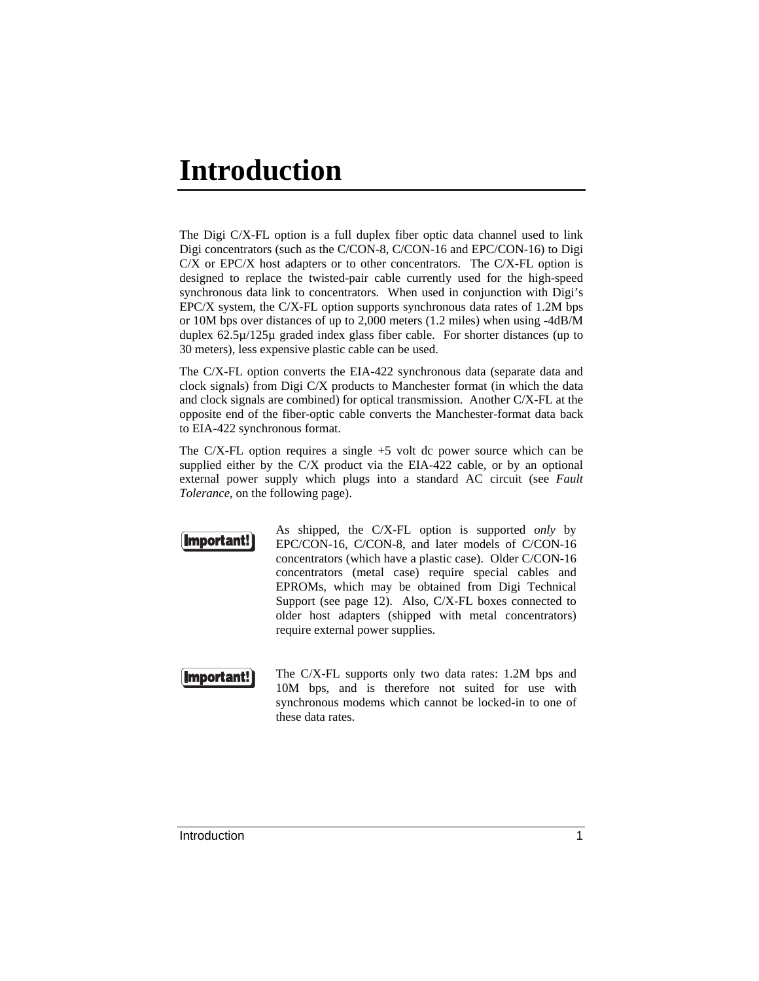### **Introduction**

The Digi C/X-FL option is a full duplex fiber optic data channel used to link Digi concentrators (such as the C/CON-8, C/CON-16 and EPC/CON-16) to Digi  $C/X$  or EPC/X host adapters or to other concentrators. The  $C/X$ -FL option is designed to replace the twisted-pair cable currently used for the high-speed synchronous data link to concentrators. When used in conjunction with Digi's EPC/X system, the C/X-FL option supports synchronous data rates of 1.2M bps or 10M bps over distances of up to 2,000 meters (1.2 miles) when using -4dB/M duplex 62.5µ/125µ graded index glass fiber cable. For shorter distances (up to 30 meters), less expensive plastic cable can be used.

The C/X-FL option converts the EIA-422 synchronous data (separate data and clock signals) from Digi C/X products to Manchester format (in which the data and clock signals are combined) for optical transmission. Another C/X-FL at the opposite end of the fiber-optic cable converts the Manchester-format data back to EIA-422 synchronous format.

The C/X-FL option requires a single  $+5$  volt dc power source which can be supplied either by the C/X product via the EIA-422 cable, or by an optional external power supply which plugs into a standard AC circuit (see *Fault Tolerance*, on the following page).



As shipped, the C/X-FL option is supported *only* by EPC/CON-16, C/CON-8, and later models of C/CON-16 concentrators (which have a plastic case). Older C/CON-16 concentrators (metal case) require special cables and EPROMs, which may be obtained from Digi Technical Support (see page 12). Also, C/X-FL boxes connected to older host adapters (shipped with metal concentrators) require external power supplies.



The C/X-FL supports only two data rates: 1.2M bps and 10M bps, and is therefore not suited for use with synchronous modems which cannot be locked-in to one of these data rates.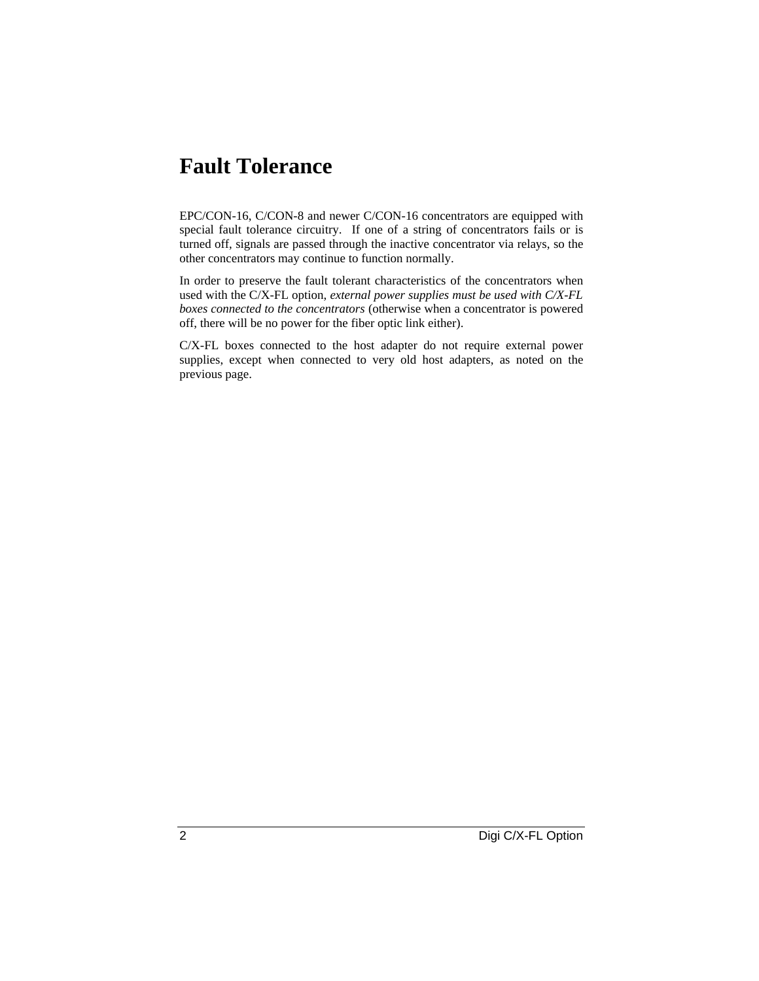### **Fault Tolerance**

EPC/CON-16, C/CON-8 and newer C/CON-16 concentrators are equipped with special fault tolerance circuitry. If one of a string of concentrators fails or is turned off, signals are passed through the inactive concentrator via relays, so the other concentrators may continue to function normally.

In order to preserve the fault tolerant characteristics of the concentrators when used with the C/X-FL option, *external power supplies must be used with C/X-FL boxes connected to the concentrators* (otherwise when a concentrator is powered off, there will be no power for the fiber optic link either).

C/X-FL boxes connected to the host adapter do not require external power supplies, except when connected to very old host adapters, as noted on the previous page.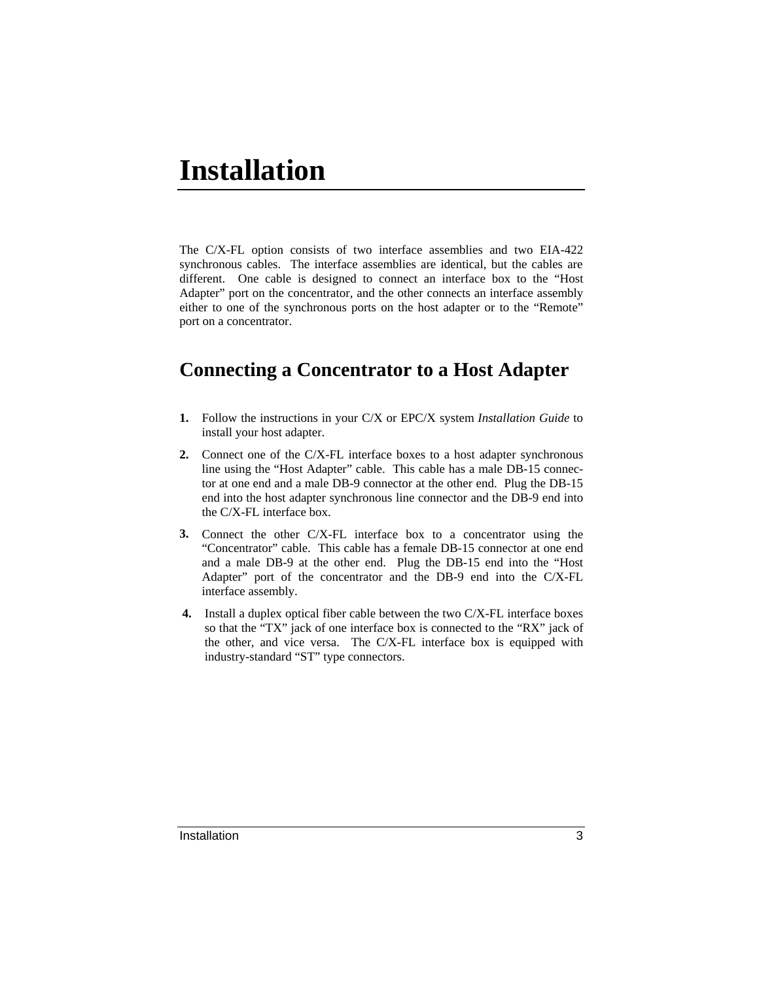### **Installation**

The C/X-FL option consists of two interface assemblies and two EIA-422 synchronous cables. The interface assemblies are identical, but the cables are different. One cable is designed to connect an interface box to the "Host Adapter" port on the concentrator, and the other connects an interface assembly either to one of the synchronous ports on the host adapter or to the "Remote" port on a concentrator.

#### **Connecting a Concentrator to a Host Adapter**

- **1.** Follow the instructions in your C/X or EPC/X system *Installation Guide* to install your host adapter.
- **2.** Connect one of the C/X-FL interface boxes to a host adapter synchronous line using the "Host Adapter" cable. This cable has a male DB-15 connector at one end and a male DB-9 connector at the other end. Plug the DB-15 end into the host adapter synchronous line connector and the DB-9 end into the C/X-FL interface box.
- **3.** Connect the other C/X-FL interface box to a concentrator using the "Concentrator" cable. This cable has a female DB-15 connector at one end and a male DB-9 at the other end. Plug the DB-15 end into the "Host Adapter" port of the concentrator and the DB-9 end into the C/X-FL interface assembly.
- **4.** Install a duplex optical fiber cable between the two C/X-FL interface boxes so that the "TX" jack of one interface box is connected to the "RX" jack of the other, and vice versa. The C/X-FL interface box is equipped with industry-standard "ST" type connectors.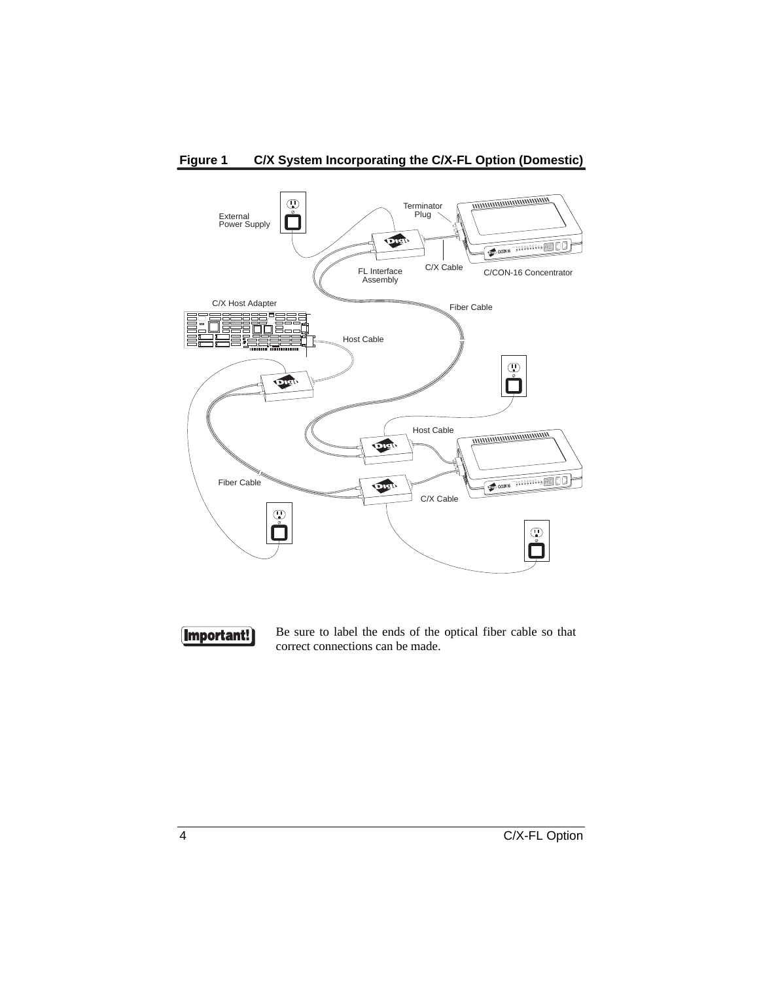

#### **Figure 1 C/X System Incorporating the C/X-FL Option (Domestic)**



Be sure to label the ends of the optical fiber cable so that correct connections can be made.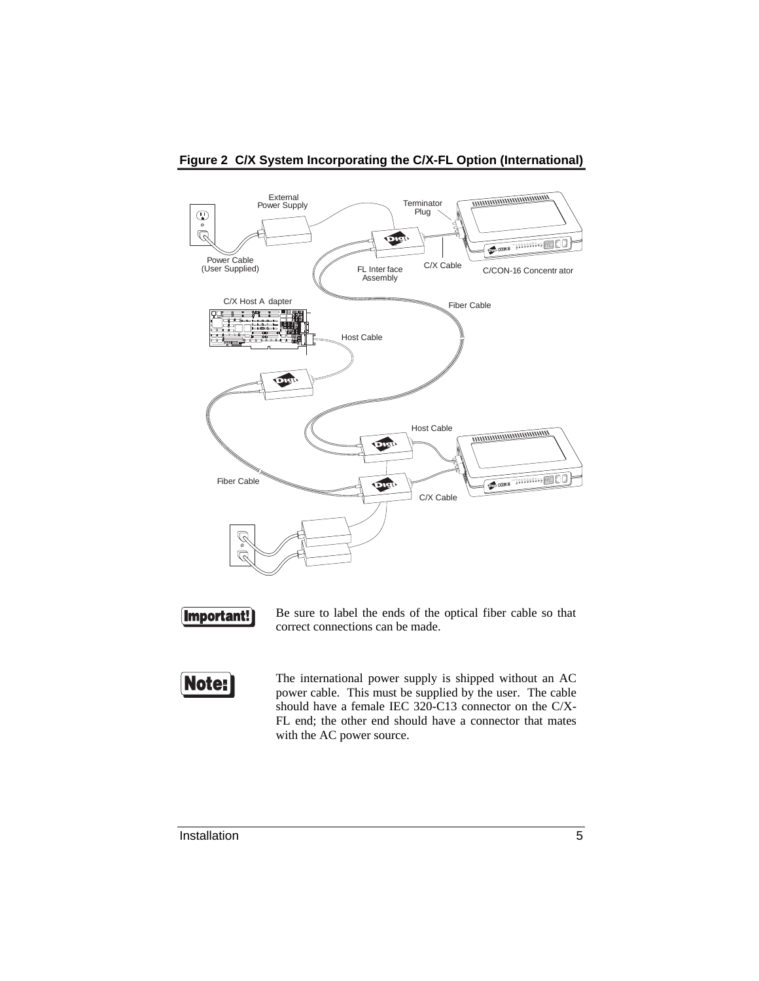

#### **Figure 2 C/X System Incorporating the C/X-FL Option (International)**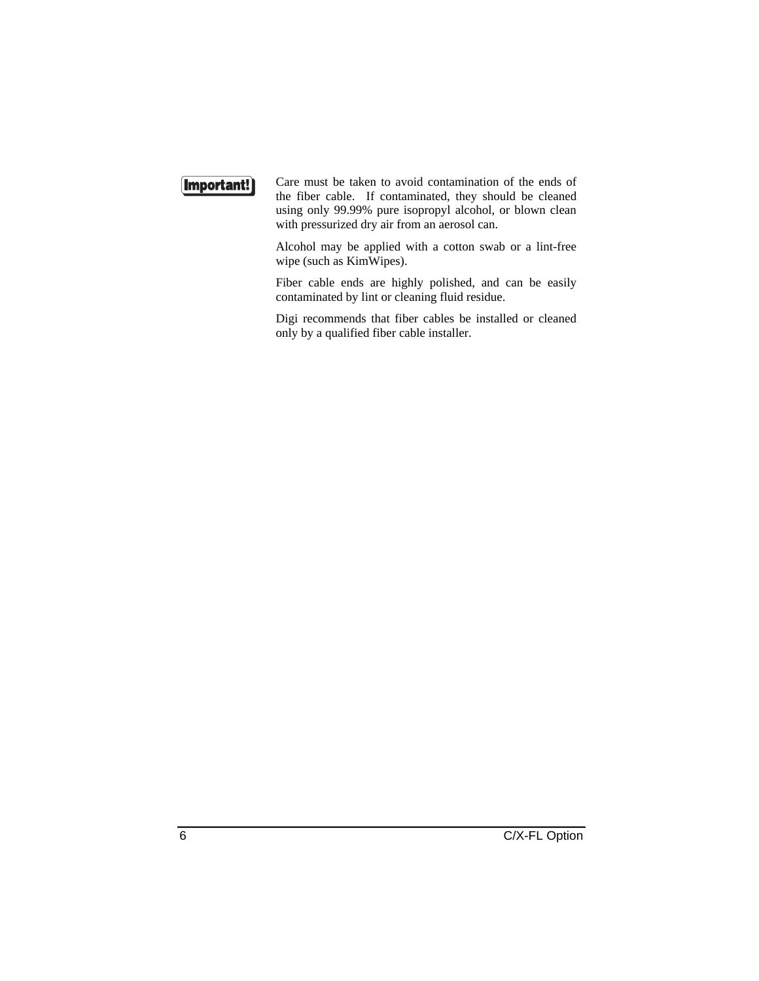#### **Important!**

Care must be taken to avoid contamination of the ends of the fiber cable. If contaminated, they should be cleaned using only 99.99% pure isopropyl alcohol, or blown clean with pressurized dry air from an aerosol can.

Alcohol may be applied with a cotton swab or a lint-free wipe (such as KimWipes).

Fiber cable ends are highly polished, and can be easily contaminated by lint or cleaning fluid residue.

Digi recommends that fiber cables be installed or cleaned only by a qualified fiber cable installer.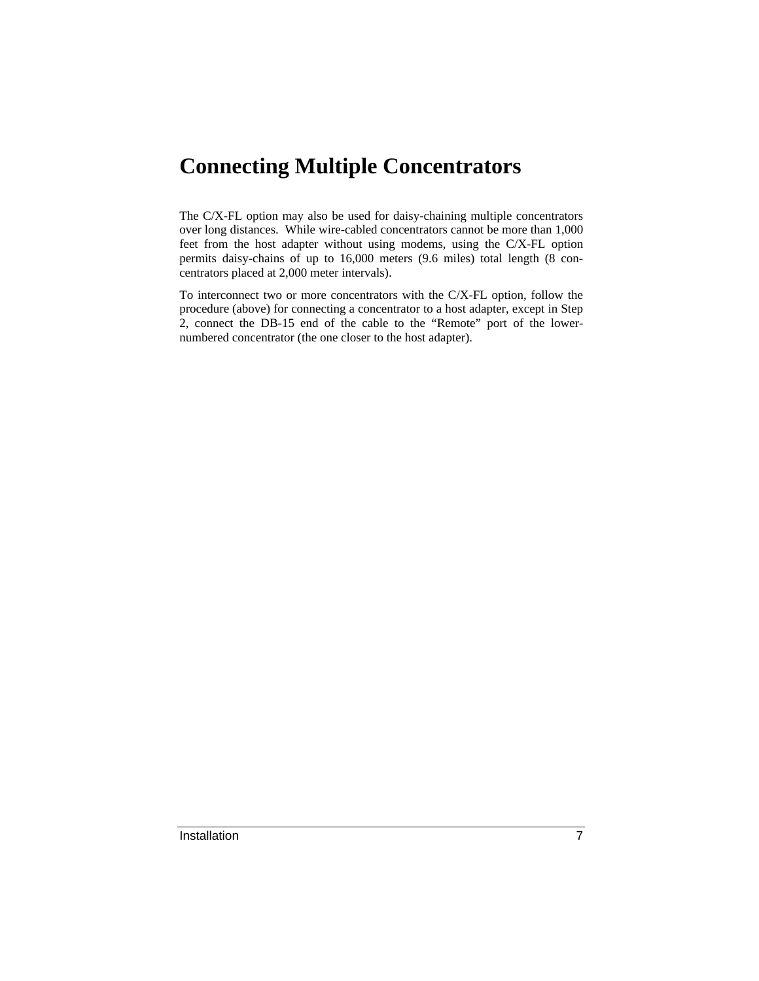### **Connecting Multiple Concentrators**

The C/X-FL option may also be used for daisy-chaining multiple concentrators over long distances. While wire-cabled concentrators cannot be more than 1,000 feet from the host adapter without using modems, using the C/X-FL option permits daisy-chains of up to 16,000 meters (9.6 miles) total length (8 concentrators placed at 2,000 meter intervals).

To interconnect two or more concentrators with the C/X-FL option, follow the procedure (above) for connecting a concentrator to a host adapter, except in Step 2, connect the DB-15 end of the cable to the "Remote" port of the lowernumbered concentrator (the one closer to the host adapter).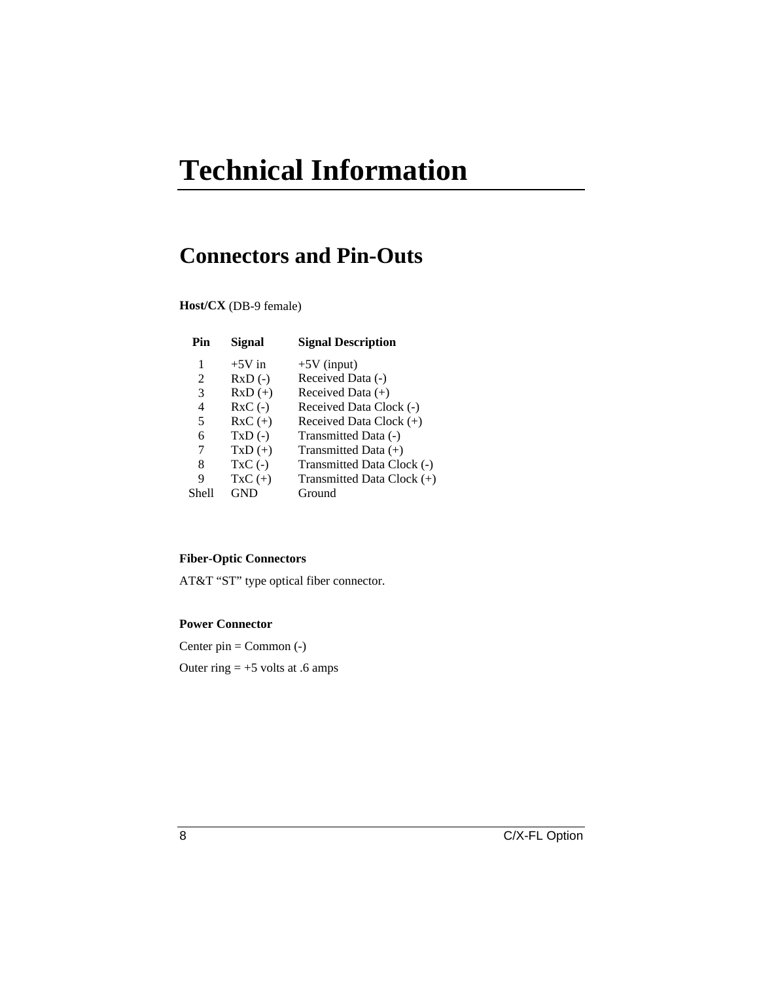# **Technical Information**

### **Connectors and Pin-Outs**

**Host/CX** (DB-9 female)

| Pin   | Signal    | <b>Signal Description</b>  |
|-------|-----------|----------------------------|
| 1     | $+5V$ in  | $+5V$ (input)              |
| 2     | $RxD$ (-) | Received Data (-)          |
| 3     | $RxD (+)$ | Received Data $(+)$        |
| 4     | $RxC(-)$  | Received Data Clock (-)    |
| 5     | $RxC (+)$ | Received Data Clock $(+)$  |
| 6     | $TxD(-)$  | Transmitted Data (-)       |
| 7     | $TxD (+)$ | Transmitted Data $(+)$     |
| 8     | $TxC(-)$  | Transmitted Data Clock (-) |
| 9     | $TxC (+)$ | Transmitted Data Clock (+) |
| Shell | GND       | Ground                     |
|       |           |                            |

#### **Fiber-Optic Connectors**

AT&T "ST" type optical fiber connector.

#### **Power Connector**

Center pin = Common (-) Outer ring  $= +5$  volts at .6 amps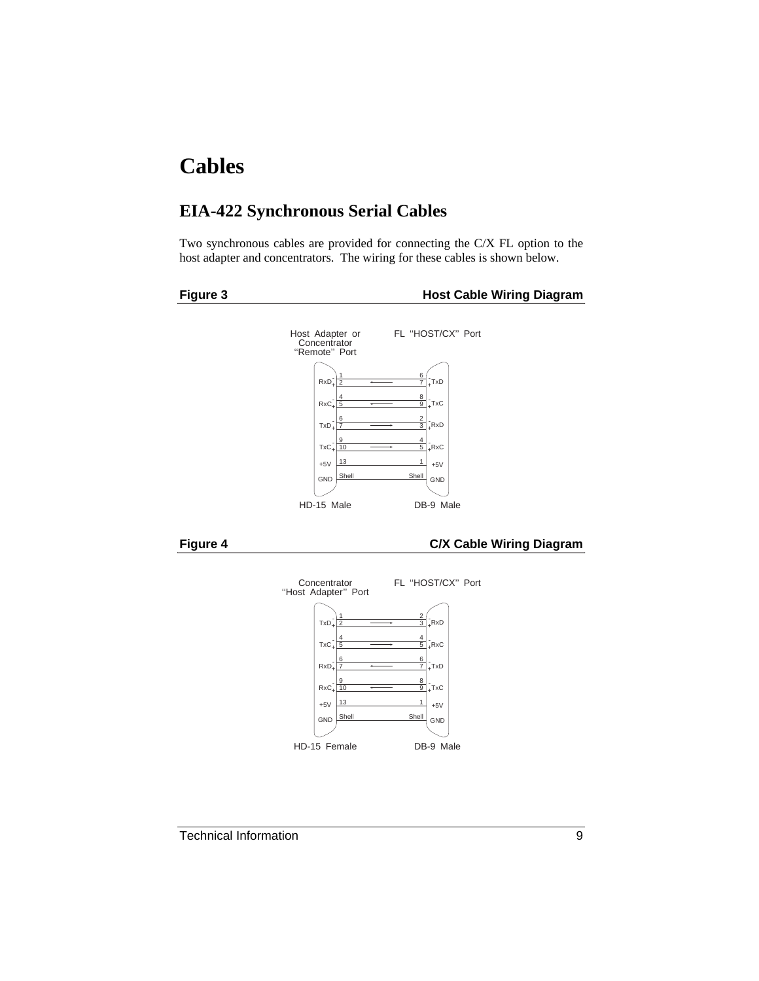### **Cables**

#### **EIA-422 Synchronous Serial Cables**

Two synchronous cables are provided for connecting the C/X FL option to the host adapter and concentrators. The wiring for these cables is shown below.



#### **Figure 3 Transformation Contract Cable Wiring Diagram**







Technical Information 9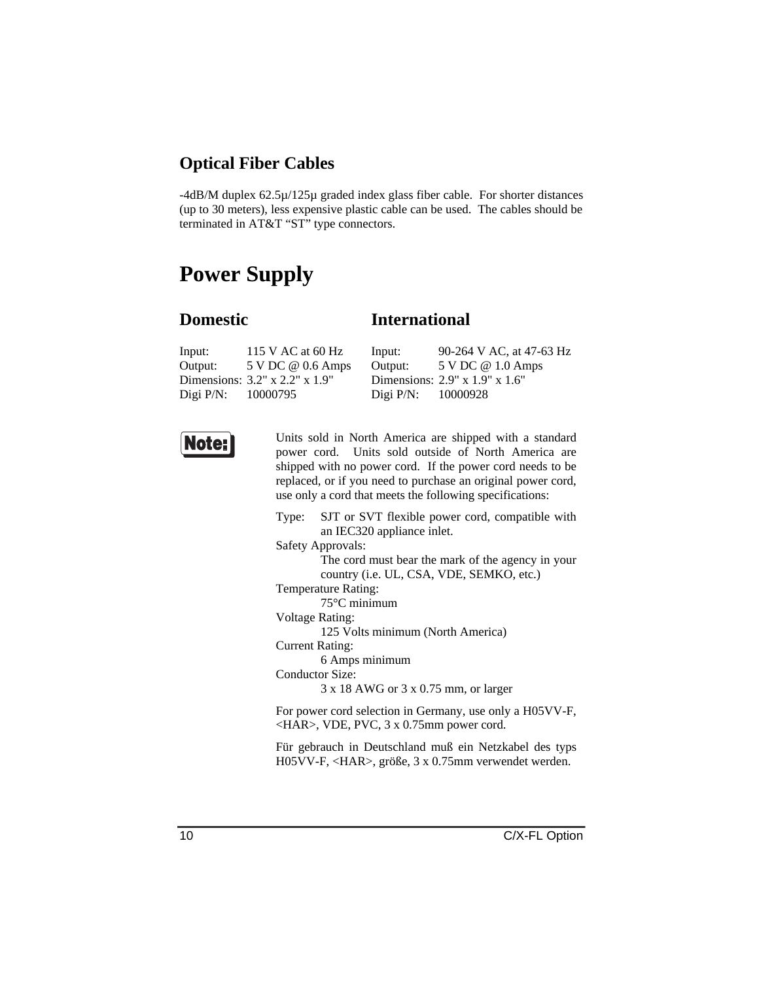#### **Optical Fiber Cables**

-4dB/M duplex 62.5µ/125µ graded index glass fiber cable. For shorter distances (up to 30 meters), less expensive plastic cable can be used. The cables should be terminated in AT&T "ST" type connectors.

### **Power Supply**

#### **Domestic**

#### **International**

| Input:                | 115 V AC at 60 Hz                       | Input:                | 90-264 V AC, at 47-63 Hz                      |
|-----------------------|-----------------------------------------|-----------------------|-----------------------------------------------|
| Output:               | 5 V DC @ 0.6 Amps                       | Output:               | 5 V DC @ 1.0 Amps                             |
|                       | Dimensions: $3.2''$ x $2.2''$ x $1.9''$ |                       | Dimensions: $2.9'' \times 1.9'' \times 1.6''$ |
| Digi $P/N$ : 10000795 |                                         | Digi $P/N$ : 10000928 |                                               |



Units sold in North America are shipped with a standard power cord. Units sold outside of North America are shipped with no power cord. If the power cord needs to be replaced, or if you need to purchase an original power cord, use only a cord that meets the following specifications:

Type: SJT or SVT flexible power cord, compatible with an IEC320 appliance inlet.

Safety Approvals:

The cord must bear the mark of the agency in your country (i.e. UL, CSA, VDE, SEMKO, etc.)

Temperature Rating:

75°C minimum

Voltage Rating:

125 Volts minimum (North America)

Current Rating:

6 Amps minimum

Conductor Size:

3 x 18 AWG or 3 x 0.75 mm, or larger

For power cord selection in Germany, use only a H05VV-F, <HAR>, VDE, PVC, 3 x 0.75mm power cord.

Für gebrauch in Deutschland muß ein Netzkabel des typs H05VV-F, <HAR>, größe, 3 x 0.75mm verwendet werden.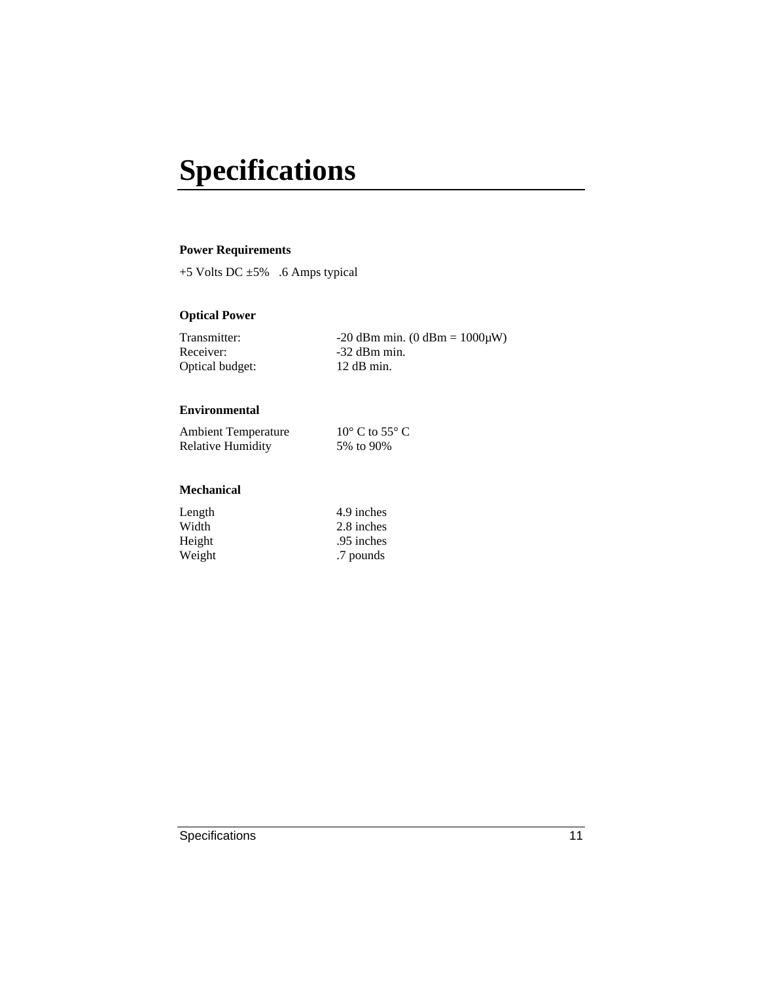# **Specifications**

#### **Power Requirements**

+5 Volts DC ±5% .6 Amps typical

#### **Optical Power**

| Transmitter:    | $-20$ dBm min. (0 dBm = $1000 \mu W$ ) |
|-----------------|----------------------------------------|
| Receiver:       | $-32$ dBm min.                         |
| Optical budget: | $12$ dB min.                           |

#### **Environmental**

| <b>Ambient Temperature</b> | $10^{\circ}$ C to 55 $^{\circ}$ C |
|----------------------------|-----------------------------------|
| <b>Relative Humidity</b>   | 5% to 90%                         |

#### **Mechanical**

| Length | 4.9 inches |
|--------|------------|
| Width  | 2.8 inches |
| Height | .95 inches |
| Weight | .7 pounds  |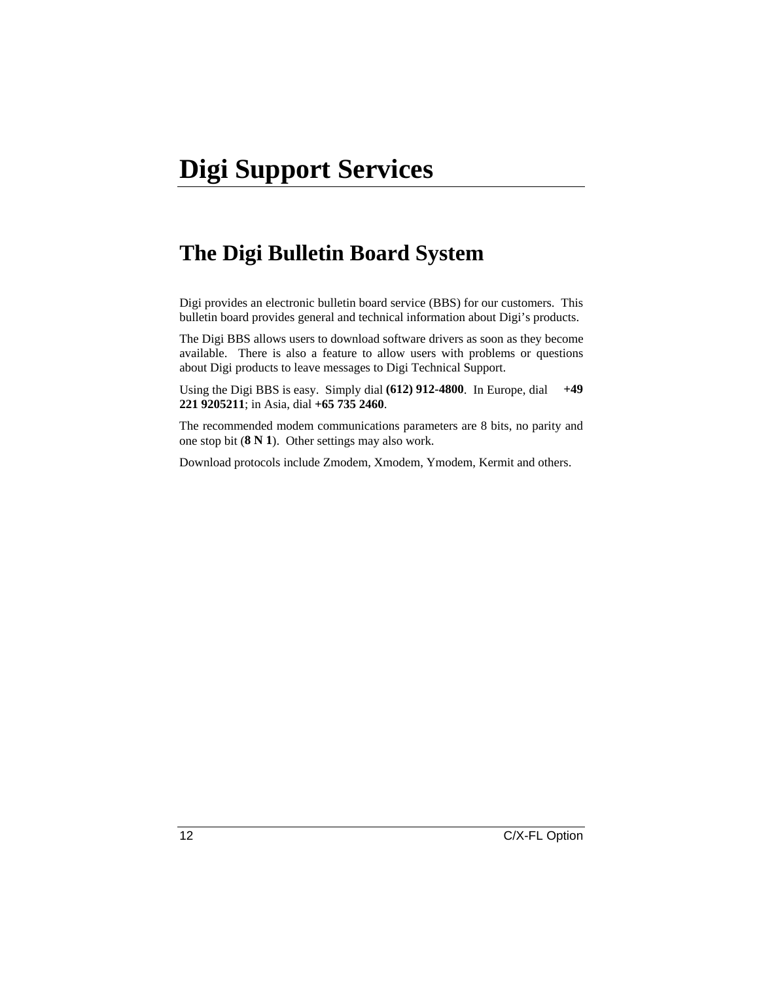### **The Digi Bulletin Board System**

Digi provides an electronic bulletin board service (BBS) for our customers. This bulletin board provides general and technical information about Digi's products.

The Digi BBS allows users to download software drivers as soon as they become available. There is also a feature to allow users with problems or questions about Digi products to leave messages to Digi Technical Support.

Using the Digi BBS is easy. Simply dial **(612) 912-4800**. In Europe, dial **+49 221 9205211**; in Asia, dial **+65 735 2460**.

The recommended modem communications parameters are 8 bits, no parity and one stop bit (**8 N 1**). Other settings may also work.

Download protocols include Zmodem, Xmodem, Ymodem, Kermit and others.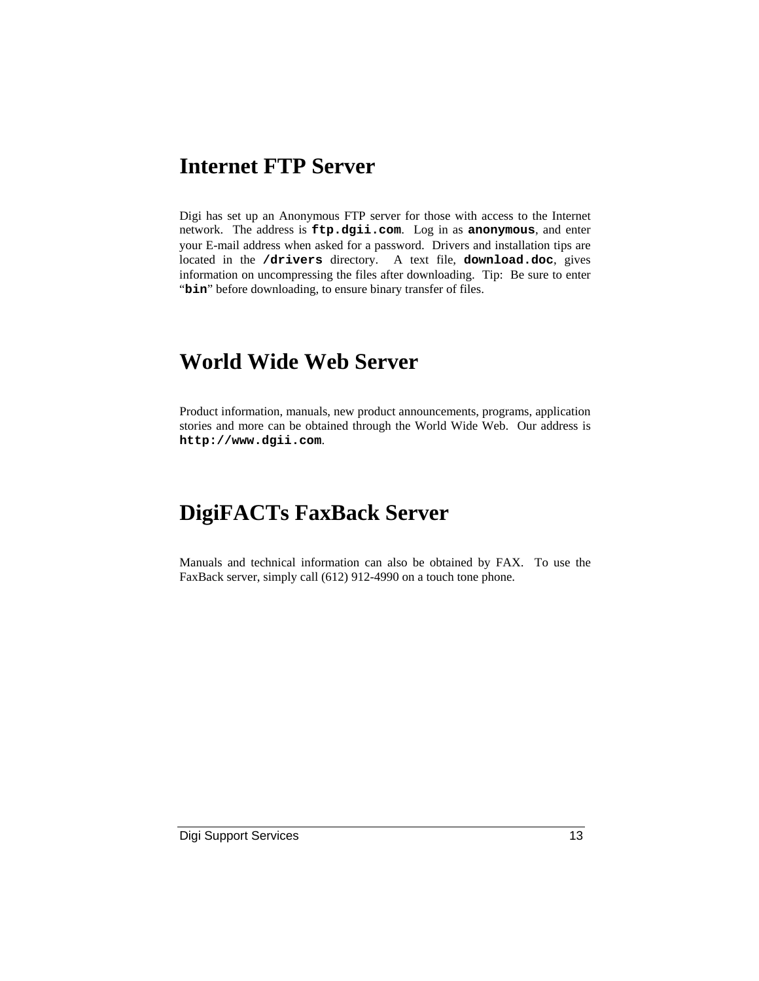### **Internet FTP Server**

Digi has set up an Anonymous FTP server for those with access to the Internet network. The address is **ftp.dgii.com**. Log in as **anonymous**, and enter your E-mail address when asked for a password. Drivers and installation tips are located in the **/drivers** directory. A text file, **download.doc**, gives information on uncompressing the files after downloading. Tip: Be sure to enter "bin" before downloading, to ensure binary transfer of files.

### **World Wide Web Server**

Product information, manuals, new product announcements, programs, application stories and more can be obtained through the World Wide Web. Our address is **http://www.dgii.com**.

### **DigiFACTs FaxBack Server**

Manuals and technical information can also be obtained by FAX. To use the FaxBack server, simply call (612) 912-4990 on a touch tone phone.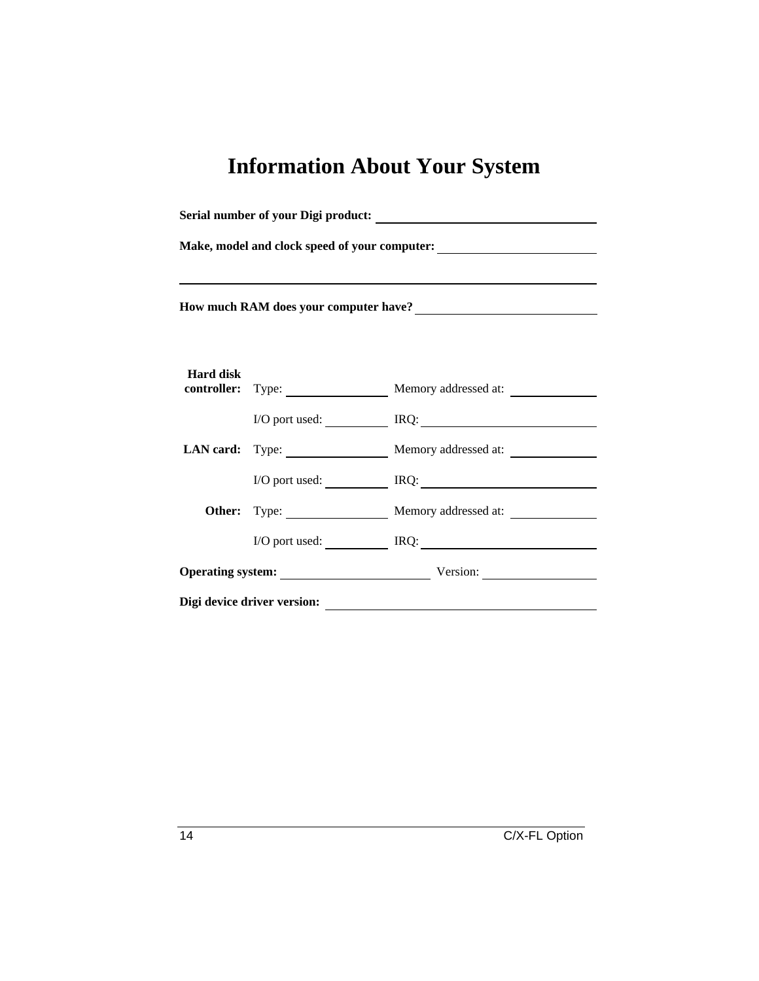## **Information About Your System**

| Serial number of your Digi product:               |  |                                        |
|---------------------------------------------------|--|----------------------------------------|
|                                                   |  |                                        |
| How much RAM does your computer have?<br><u> </u> |  |                                        |
| <b>Hard disk</b>                                  |  | controller: Type: Memory addressed at: |
|                                                   |  | I/O port used: IRQ: IRQ:               |
|                                                   |  | LAN card: Type: Memory addressed at:   |
|                                                   |  | I/O port used: IRQ: IRQ:               |
|                                                   |  | Other: Type: Memory addressed at:      |
|                                                   |  | I/O port used: IRQ: IRQ:               |
|                                                   |  | Operating system: Version: Version:    |
| Digi device driver version:                       |  |                                        |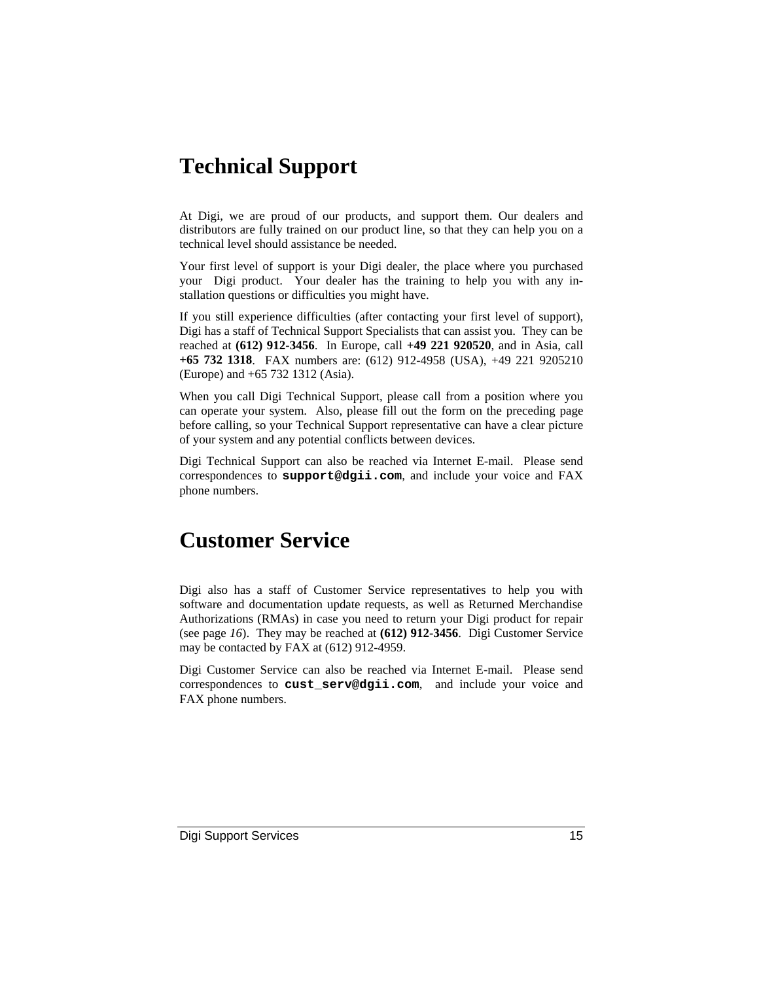### **Technical Support**

At Digi, we are proud of our products, and support them. Our dealers and distributors are fully trained on our product line, so that they can help you on a technical level should assistance be needed.

Your first level of support is your Digi dealer, the place where you purchased your Digi product. Your dealer has the training to help you with any installation questions or difficulties you might have.

If you still experience difficulties (after contacting your first level of support), Digi has a staff of Technical Support Specialists that can assist you. They can be reached at **(612) 912-3456**. In Europe, call **+49 221 920520**, and in Asia, call **+65 732 1318**. FAX numbers are: (612) 912-4958 (USA), +49 221 9205210 (Europe) and +65 732 1312 (Asia).

When you call Digi Technical Support, please call from a position where you can operate your system. Also, please fill out the form on the preceding page before calling, so your Technical Support representative can have a clear picture of your system and any potential conflicts between devices.

Digi Technical Support can also be reached via Internet E-mail. Please send correspondences to **support@dgii.com**, and include your voice and FAX phone numbers.

### **Customer Service**

Digi also has a staff of Customer Service representatives to help you with software and documentation update requests, as well as Returned Merchandise Authorizations (RMAs) in case you need to return your Digi product for repair (see page *16*). They may be reached at **(612) 912-3456**. Digi Customer Service may be contacted by FAX at (612) 912-4959.

Digi Customer Service can also be reached via Internet E-mail. Please send correspondences to **cust\_serv@dgii.com**, and include your voice and FAX phone numbers.